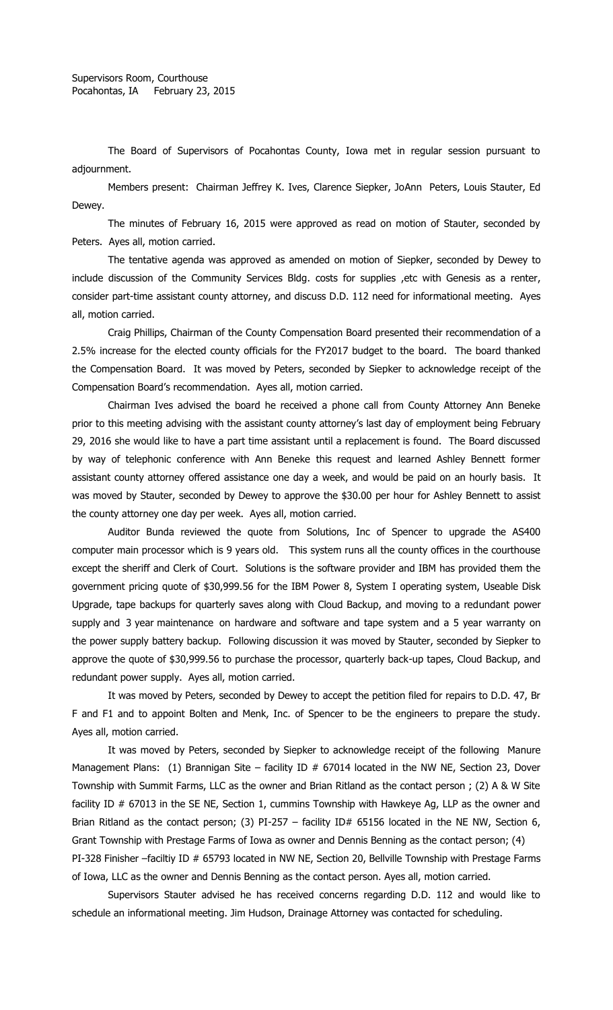The Board of Supervisors of Pocahontas County, Iowa met in regular session pursuant to adjournment.

Members present: Chairman Jeffrey K. Ives, Clarence Siepker, JoAnn Peters, Louis Stauter, Ed Dewey.

The minutes of February 16, 2015 were approved as read on motion of Stauter, seconded by Peters. Ayes all, motion carried.

The tentative agenda was approved as amended on motion of Siepker, seconded by Dewey to include discussion of the Community Services Bldg. costs for supplies , etc with Genesis as a renter, consider part-time assistant county attorney, and discuss D.D. 112 need for informational meeting. Ayes all, motion carried.

Craig Phillips, Chairman of the County Compensation Board presented their recommendation of a 2.5% increase for the elected county officials for the FY2017 budget to the board. The board thanked the Compensation Board. It was moved by Peters, seconded by Siepker to acknowledge receipt of the Compensation Board's recommendation. Ayes all, motion carried.

Chairman Ives advised the board he received a phone call from County Attorney Ann Beneke prior to this meeting advising with the assistant county attorney's last day of employment being February 29, 2016 she would like to have a part time assistant until a replacement is found. The Board discussed by way of telephonic conference with Ann Beneke this request and learned Ashley Bennett former assistant county attorney offered assistance one day a week, and would be paid on an hourly basis. It was moved by Stauter, seconded by Dewey to approve the \$30.00 per hour for Ashley Bennett to assist the county attorney one day per week. Ayes all, motion carried.

Auditor Bunda reviewed the quote from Solutions, Inc of Spencer to upgrade the AS400 computer main processor which is 9 years old. This system runs all the county offices in the courthouse except the sheriff and Clerk of Court. Solutions is the software provider and IBM has provided them the government pricing quote of \$30,999.56 for the IBM Power 8, System I operating system, Useable Disk Upgrade, tape backups for quarterly saves along with Cloud Backup, and moving to a redundant power supply and 3 year maintenance on hardware and software and tape system and a 5 year warranty on the power supply battery backup. Following discussion it was moved by Stauter, seconded by Siepker to approve the quote of \$30,999.56 to purchase the processor, quarterly back-up tapes, Cloud Backup, and redundant power supply. Ayes all, motion carried.

It was moved by Peters, seconded by Dewey to accept the petition filed for repairs to D.D. 47, Br F and F1 and to appoint Bolten and Menk, Inc. of Spencer to be the engineers to prepare the study. Ayes all, motion carried.

It was moved by Peters, seconded by Siepker to acknowledge receipt of the following Manure Management Plans: (1) Brannigan Site – facility ID  $#$  67014 located in the NW NE, Section 23, Dover Township with Summit Farms, LLC as the owner and Brian Ritland as the contact person ; (2) A & W Site facility ID # 67013 in the SE NE, Section 1, cummins Township with Hawkeye Ag, LLP as the owner and Brian Ritland as the contact person; (3) PI-257 - facility ID# 65156 located in the NE NW, Section 6, Grant Township with Prestage Farms of Iowa as owner and Dennis Benning as the contact person; (4) PI-328 Finisher -faciltiy ID # 65793 located in NW NE, Section 20, Bellville Township with Prestage Farms of Iowa, LLC as the owner and Dennis Benning as the contact person. Ayes all, motion carried.

Supervisors Stauter advised he has received concerns regarding D.D. 112 and would like to schedule an informational meeting. Jim Hudson, Drainage Attorney was contacted for scheduling.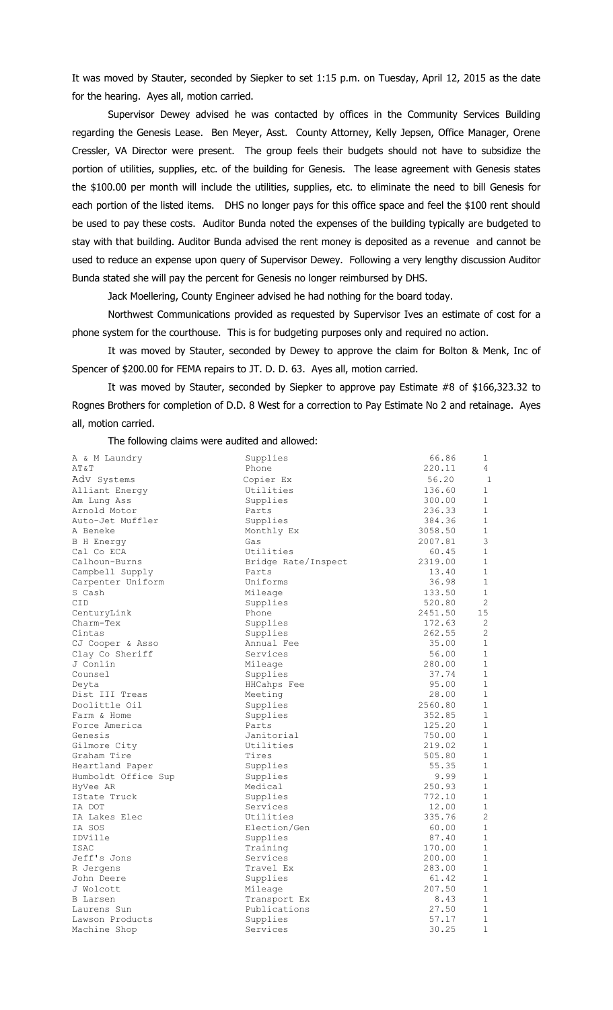It was moved by Stauter, seconded by Siepker to set 1:15 p.m. on Tuesday, April 12, 2015 as the date for the hearing. Ayes all, motion carried.

Supervisor Dewey advised he was contacted by offices in the Community Services Building regarding the Genesis Lease. Ben Meyer, Asst. County Attorney, Kelly Jepsen, Office Manager, Orene Cressler, VA Director were present. The group feels their budgets should not have to subsidize the portion of utilities, supplies, etc. of the building for Genesis. The lease agreement with Genesis states the \$100.00 per month will include the utilities, supplies, etc. to eliminate the need to bill Genesis for each portion of the listed items. DHS no longer pays for this office space and feel the \$100 rent should be used to pay these costs. Auditor Bunda noted the expenses of the building typically are budgeted to stay with that building. Auditor Bunda advised the rent money is deposited as a revenue and cannot be used to reduce an expense upon query of Supervisor Dewey. Following a very lengthy discussion Auditor Bunda stated she will pay the percent for Genesis no longer reimbursed by DHS.

Jack Moellering, County Engineer advised he had nothing for the board today.

Northwest Communications provided as requested by Supervisor Ives an estimate of cost for a phone system for the courthouse. This is for budgeting purposes only and required no action.

It was moved by Stauter, seconded by Dewey to approve the claim for Bolton & Menk, Inc of Spencer of \$200.00 for FEMA repairs to JT. D. D. 63. Ayes all, motion carried.

It was moved by Stauter, seconded by Siepker to approve pay Estimate #8 of \$166,323.32 to Rognes Brothers for completion of D.D. 8 West for a correction to Pay Estimate No 2 and retainage. Ayes all, motion carried.

The following claims were audited and allowed:

| A & M Laundry       | Supplies            | 66.86   | $\mathbf{1}$   |
|---------------------|---------------------|---------|----------------|
| AT&T                | Phone               | 220.11  | 4              |
| Adv Systems         | Copier Ex           | 56.20   | $\overline{1}$ |
| Alliant Energy      | Utilities           | 136.60  | 1              |
| Am Lung Ass         | Supplies            | 300.00  | $\mathbf{1}$   |
| Arnold Motor        | Parts               | 236.33  | $\mathbf{1}$   |
| Auto-Jet Muffler    | Supplies            | 384.36  | $\mathbf{1}$   |
| A Beneke            | Monthly Ex          | 3058.50 | $\mathbf 1$    |
| <b>B</b> H Energy   | Gas                 | 2007.81 | 3              |
| Cal Co ECA          | Utilities           | 60.45   | $\mathbf{1}$   |
| Calhoun-Burns       | Bridge Rate/Inspect | 2319.00 | $\mathbf{1}$   |
| Campbell Supply     | Parts               | 13.40   | $\mathbf{1}$   |
| Carpenter Uniform   | Uniforms            | 36.98   | $\mathbf{1}$   |
| S Cash              | Mileage             | 133.50  | $\mathbf{1}$   |
| CID                 | Supplies            | 520.80  | 2              |
| CenturyLink         | Phone               | 2451.50 | 15             |
| Charm-Tex           | Supplies            | 172.63  | 2              |
| Cintas              | Supplies            | 262.55  | 2              |
| CJ Cooper & Asso    | Annual Fee          | 35.00   | $\mathbf{1}$   |
| Clay Co Sheriff     | Services            | 56.00   | $\mathbf 1$    |
| J Conlin            | Mileage             | 280.00  | $\mathbf{1}$   |
| Counsel             | Supplies            | 37.74   | $\mathbf{1}$   |
| Deyta               | HHCahps Fee         | 95.00   | $\mathbf{1}$   |
| Dist III Treas      | Meeting             | 28.00   | $\mathbf{1}$   |
| Doolittle Oil       | Supplies            | 2560.80 | $\mathbf 1$    |
| Farm & Home         | Supplies            | 352.85  | $\mathbf{1}$   |
| Force America       | Parts               | 125.20  | $\mathbf{1}$   |
| Genesis             | Janitorial          | 750.00  | $\mathbf{1}$   |
| Gilmore City        | Utilities           | 219.02  | $\mathbf{1}$   |
| Graham Tire         | Tires               | 505.80  | $\mathbf{1}$   |
| Heartland Paper     | Supplies            | 55.35   | $\mathbf{1}$   |
| Humboldt Office Sup | Supplies            | 9.99    | $\mathbf{1}$   |
| HyVee AR            | Medical             | 250.93  | $\mathbf{1}$   |
| IState Truck        | Supplies            | 772.10  | $\mathbf{1}$   |
| IA DOT              | Services            | 12.00   | $\mathbf{1}$   |
| IA Lakes Elec       | Utilities           | 335.76  | $\overline{2}$ |
| IA SOS              | Election/Gen        | 60.00   | $\mathbf{1}$   |
| IDVille             | Supplies            | 87.40   | $\mathbf{1}$   |
| <b>ISAC</b>         | Training            | 170.00  | $\mathbf{1}$   |
| Jeff's Jons         | Services            | 200.00  | $\mathbf{1}$   |
| R Jergens           | Travel Ex           | 283.00  | $\mathbf{1}$   |
| John Deere          | Supplies            | 61.42   | $\mathbf{1}$   |
| J Wolcott           | Mileage             | 207.50  | $\mathbf 1$    |
| B Larsen            | Transport Ex        | 8.43    | $\mathbf 1$    |
| Laurens Sun         | Publications        | 27.50   | $\mathbf{1}$   |
| Lawson Products     | Supplies            | 57.17   | $\mathbf{1}$   |
| Machine Shop        | Services            | 30.25   | $\mathbf{1}$   |
|                     |                     |         |                |